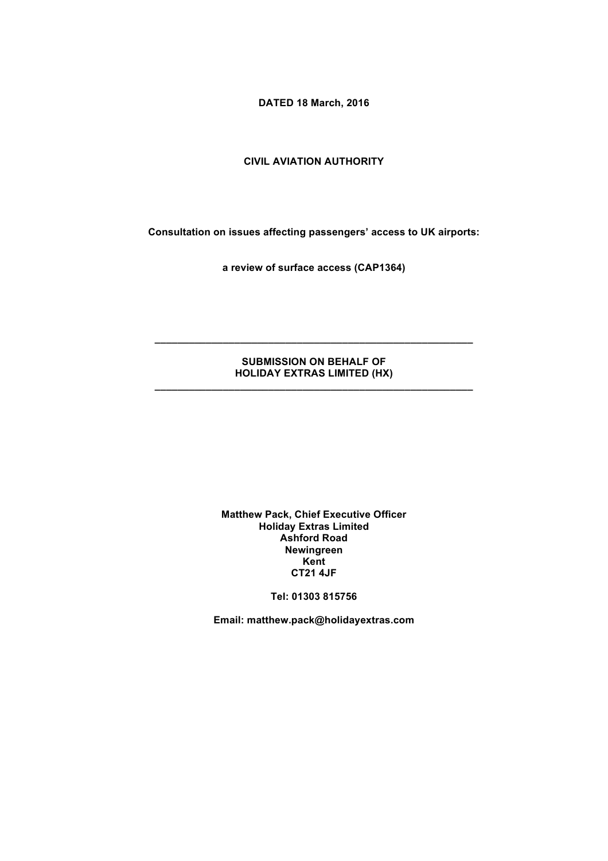**DATED 18 March, 2016**

### **CIVIL AVIATION AUTHORITY**

**Consultation on issues affecting passengers' access to UK airports:** 

**a review of surface access (CAP1364)**

### **SUBMISSION ON BEHALF OF HOLIDAY EXTRAS LIMITED (HX) \_\_\_\_\_\_\_\_\_\_\_\_\_\_\_\_\_\_\_\_\_\_\_\_\_\_\_\_\_\_\_\_\_\_\_\_\_\_\_\_\_\_\_\_\_\_\_\_\_\_\_\_\_\_\_\_**

**\_\_\_\_\_\_\_\_\_\_\_\_\_\_\_\_\_\_\_\_\_\_\_\_\_\_\_\_\_\_\_\_\_\_\_\_\_\_\_\_\_\_\_\_\_\_\_\_\_\_\_\_\_\_\_\_**

#### **Matthew Pack, Chief Executive Officer Holiday Extras Limited Ashford Road Newingreen Kent CT21 4JF**

**Tel: 01303 815756**

**Email: matthew.pack@holidayextras.com**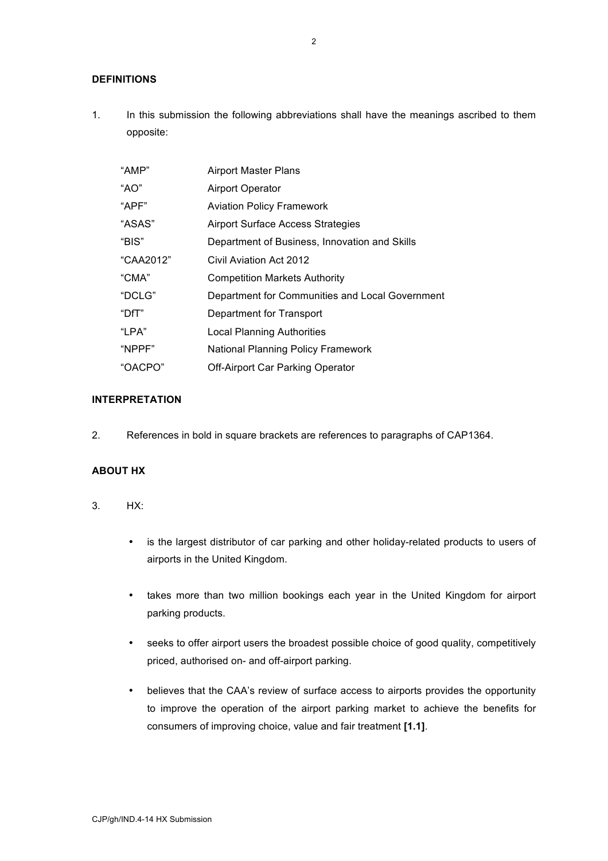# **DEFINITIONS**

1. In this submission the following abbreviations shall have the meanings ascribed to them opposite:

| "AMP"     | <b>Airport Master Plans</b>                     |
|-----------|-------------------------------------------------|
| "AO"      | Airport Operator                                |
| "APF"     | <b>Aviation Policy Framework</b>                |
| "ASAS"    | <b>Airport Surface Access Strategies</b>        |
| "BIS"     | Department of Business, Innovation and Skills   |
| "CAA2012" | Civil Aviation Act 2012                         |
| "CMA"     | <b>Competition Markets Authority</b>            |
| "DCLG"    | Department for Communities and Local Government |
| " $DfT$ " | Department for Transport                        |
| "LPA"     | <b>Local Planning Authorities</b>               |
| "NPPF"    | <b>National Planning Policy Framework</b>       |
| "OACPO"   | <b>Off-Airport Car Parking Operator</b>         |

# **INTERPRETATION**

2. References in bold in square brackets are references to paragraphs of CAP1364.

# **ABOUT HX**

- 3. HX:
	- is the largest distributor of car parking and other holiday-related products to users of airports in the United Kingdom.
	- takes more than two million bookings each year in the United Kingdom for airport parking products.
	- seeks to offer airport users the broadest possible choice of good quality, competitively priced, authorised on- and off-airport parking.
	- believes that the CAA's review of surface access to airports provides the opportunity to improve the operation of the airport parking market to achieve the benefits for consumers of improving choice, value and fair treatment **[1.1]**.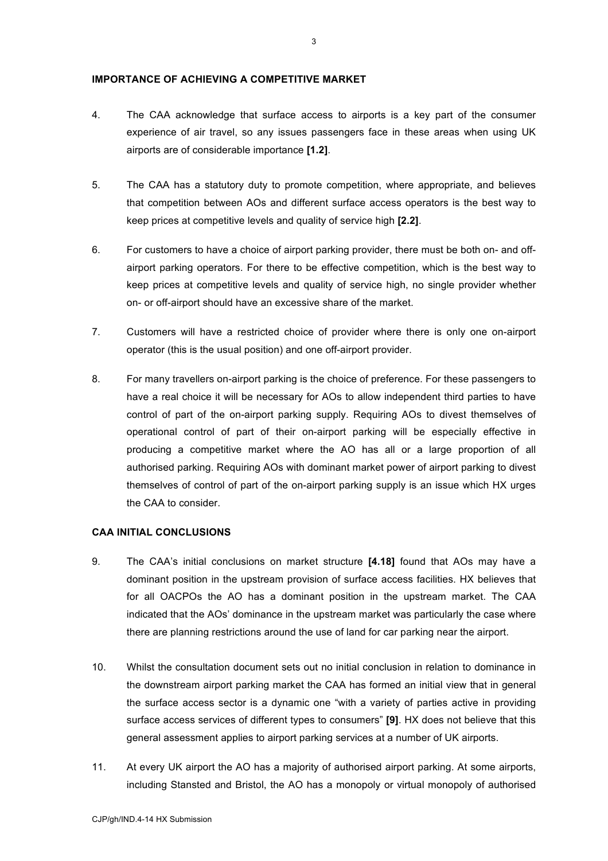### **IMPORTANCE OF ACHIEVING A COMPETITIVE MARKET**

- 4. The CAA acknowledge that surface access to airports is a key part of the consumer experience of air travel, so any issues passengers face in these areas when using UK airports are of considerable importance **[1.2]**.
- 5. The CAA has a statutory duty to promote competition, where appropriate, and believes that competition between AOs and different surface access operators is the best way to keep prices at competitive levels and quality of service high **[2.2]**.
- 6. For customers to have a choice of airport parking provider, there must be both on- and offairport parking operators. For there to be effective competition, which is the best way to keep prices at competitive levels and quality of service high, no single provider whether on- or off-airport should have an excessive share of the market.
- 7. Customers will have a restricted choice of provider where there is only one on-airport operator (this is the usual position) and one off-airport provider.
- 8. For many travellers on-airport parking is the choice of preference. For these passengers to have a real choice it will be necessary for AOs to allow independent third parties to have control of part of the on-airport parking supply. Requiring AOs to divest themselves of operational control of part of their on-airport parking will be especially effective in producing a competitive market where the AO has all or a large proportion of all authorised parking. Requiring AOs with dominant market power of airport parking to divest themselves of control of part of the on-airport parking supply is an issue which HX urges the CAA to consider.

# **CAA INITIAL CONCLUSIONS**

- 9. The CAA's initial conclusions on market structure **[4.18]** found that AOs may have a dominant position in the upstream provision of surface access facilities. HX believes that for all OACPOs the AO has a dominant position in the upstream market. The CAA indicated that the AOs' dominance in the upstream market was particularly the case where there are planning restrictions around the use of land for car parking near the airport.
- 10. Whilst the consultation document sets out no initial conclusion in relation to dominance in the downstream airport parking market the CAA has formed an initial view that in general the surface access sector is a dynamic one "with a variety of parties active in providing surface access services of different types to consumers" **[9]**. HX does not believe that this general assessment applies to airport parking services at a number of UK airports.
- 11. At every UK airport the AO has a majority of authorised airport parking. At some airports, including Stansted and Bristol, the AO has a monopoly or virtual monopoly of authorised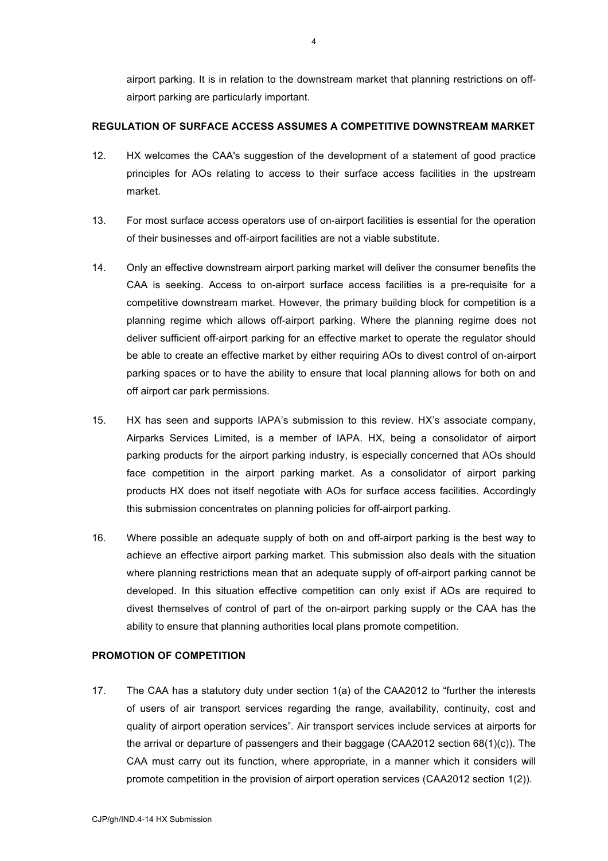airport parking. It is in relation to the downstream market that planning restrictions on offairport parking are particularly important.

### **REGULATION OF SURFACE ACCESS ASSUMES A COMPETITIVE DOWNSTREAM MARKET**

- 12. HX welcomes the CAA's suggestion of the development of a statement of good practice principles for AOs relating to access to their surface access facilities in the upstream market.
- 13. For most surface access operators use of on-airport facilities is essential for the operation of their businesses and off-airport facilities are not a viable substitute.
- 14. Only an effective downstream airport parking market will deliver the consumer benefits the CAA is seeking. Access to on-airport surface access facilities is a pre-requisite for a competitive downstream market. However, the primary building block for competition is a planning regime which allows off-airport parking. Where the planning regime does not deliver sufficient off-airport parking for an effective market to operate the regulator should be able to create an effective market by either requiring AOs to divest control of on-airport parking spaces or to have the ability to ensure that local planning allows for both on and off airport car park permissions.
- 15. HX has seen and supports IAPA's submission to this review. HX's associate company, Airparks Services Limited, is a member of IAPA. HX, being a consolidator of airport parking products for the airport parking industry, is especially concerned that AOs should face competition in the airport parking market. As a consolidator of airport parking products HX does not itself negotiate with AOs for surface access facilities. Accordingly this submission concentrates on planning policies for off-airport parking.
- 16. Where possible an adequate supply of both on and off-airport parking is the best way to achieve an effective airport parking market. This submission also deals with the situation where planning restrictions mean that an adequate supply of off-airport parking cannot be developed. In this situation effective competition can only exist if AOs are required to divest themselves of control of part of the on-airport parking supply or the CAA has the ability to ensure that planning authorities local plans promote competition.

### **PROMOTION OF COMPETITION**

17. The CAA has a statutory duty under section 1(a) of the CAA2012 to "further the interests of users of air transport services regarding the range, availability, continuity, cost and quality of airport operation services". Air transport services include services at airports for the arrival or departure of passengers and their baggage (CAA2012 section 68(1)(c)). The CAA must carry out its function, where appropriate, in a manner which it considers will promote competition in the provision of airport operation services (CAA2012 section 1(2)).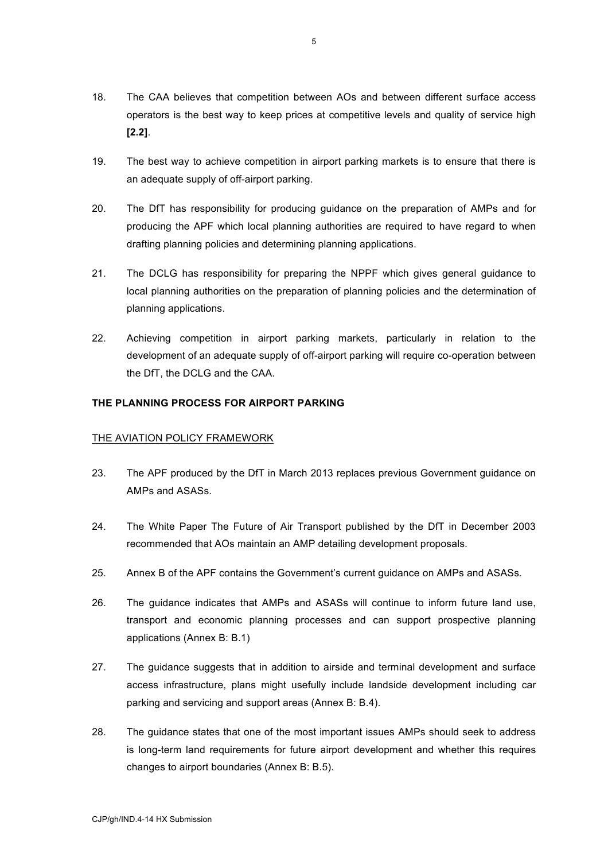- 18. The CAA believes that competition between AOs and between different surface access operators is the best way to keep prices at competitive levels and quality of service high **[2.2]**.
- 19. The best way to achieve competition in airport parking markets is to ensure that there is an adequate supply of off-airport parking.
- 20. The DfT has responsibility for producing guidance on the preparation of AMPs and for producing the APF which local planning authorities are required to have regard to when drafting planning policies and determining planning applications.
- 21. The DCLG has responsibility for preparing the NPPF which gives general guidance to local planning authorities on the preparation of planning policies and the determination of planning applications.
- 22. Achieving competition in airport parking markets, particularly in relation to the development of an adequate supply of off-airport parking will require co-operation between the DfT, the DCLG and the CAA.

# **THE PLANNING PROCESS FOR AIRPORT PARKING**

# THE AVIATION POLICY FRAMEWORK

- 23. The APF produced by the DfT in March 2013 replaces previous Government guidance on AMPs and ASASs.
- 24. The White Paper The Future of Air Transport published by the DfT in December 2003 recommended that AOs maintain an AMP detailing development proposals.
- 25. Annex B of the APF contains the Government's current guidance on AMPs and ASASs.
- 26. The guidance indicates that AMPs and ASASs will continue to inform future land use, transport and economic planning processes and can support prospective planning applications (Annex B: B.1)
- 27. The guidance suggests that in addition to airside and terminal development and surface access infrastructure, plans might usefully include landside development including car parking and servicing and support areas (Annex B: B.4).
- 28. The guidance states that one of the most important issues AMPs should seek to address is long-term land requirements for future airport development and whether this requires changes to airport boundaries (Annex B: B.5).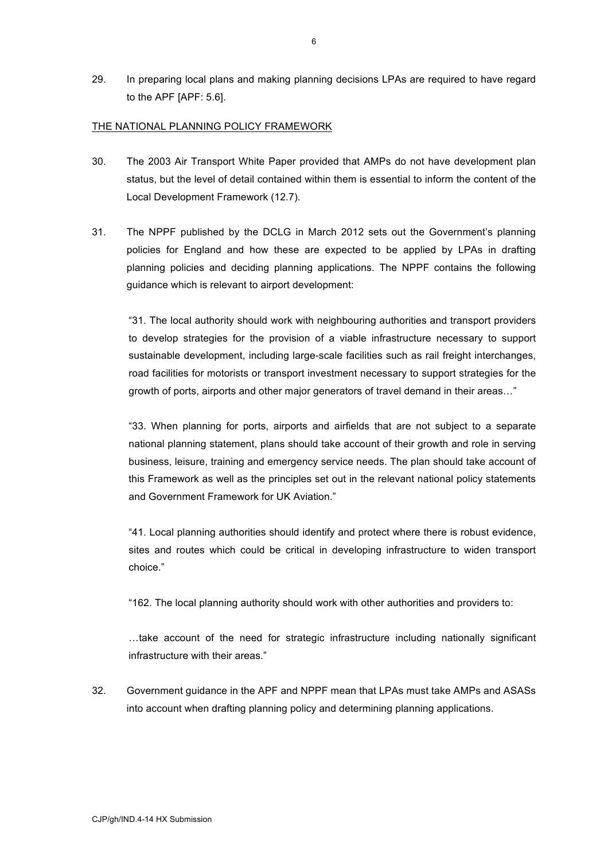29. In preparing local plans and making planning decisions LPAs are required to have regard to the APF [APF: 5.6].

### THE NATIONAL PLANNING POLICY FRAMEWORK

- 30. The 2003 Air Transport White Paper provided that AMPs do not have development plan status, but the level of detail contained within them is essential to inform the content of the Local Development Framework (12.7).
- 31. The NPPF published by the DCLG in March 2012 sets out the Government's planning policies for England and how these are expected to be applied by LPAs in drafting planning policies and deciding planning applications. The NPPF contains the following guidance which is relevant to airport development:

"31. The local authority should work with neighbouring authorities and transport providers to develop strategies for the provision of a viable infrastructure necessary to support sustainable development, including large-scale facilities such as rail freight interchanges, road facilities for motorists or transport investment necessary to support strategies for the growth of ports, airports and other major generators of travel demand in their areas…"

"33. When planning for ports, airports and airfields that are not subject to a separate national planning statement, plans should take account of their growth and role in serving business, leisure, training and emergency service needs. The plan should take account of this Framework as well as the principles set out in the relevant national policy statements and Government Framework for UK Aviation."

"41. Local planning authorities should identify and protect where there is robust evidence, sites and routes which could be critical in developing infrastructure to widen transport choice."

"162. The local planning authority should work with other authorities and providers to:

…take account of the need for strategic infrastructure including nationally significant infrastructure with their areas."

32. Government guidance in the APF and NPPF mean that LPAs must take AMPs and ASASs into account when drafting planning policy and determining planning applications.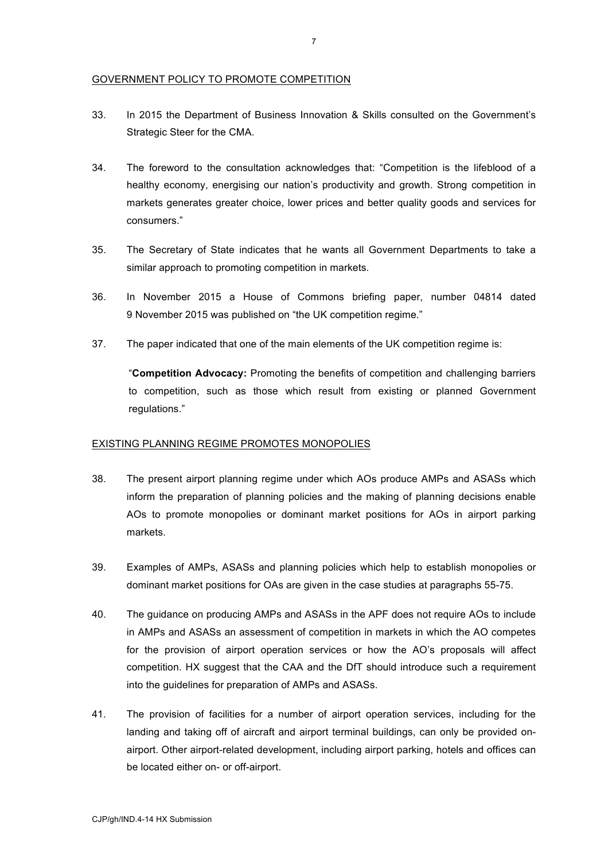### GOVERNMENT POLICY TO PROMOTE COMPETITION

- 33. In 2015 the Department of Business Innovation & Skills consulted on the Government's Strategic Steer for the CMA.
- 34. The foreword to the consultation acknowledges that: "Competition is the lifeblood of a healthy economy, energising our nation's productivity and growth. Strong competition in markets generates greater choice, lower prices and better quality goods and services for consumers."
- 35. The Secretary of State indicates that he wants all Government Departments to take a similar approach to promoting competition in markets.
- 36. In November 2015 a House of Commons briefing paper, number 04814 dated 9 November 2015 was published on "the UK competition regime."
- 37. The paper indicated that one of the main elements of the UK competition regime is:

"**Competition Advocacy:** Promoting the benefits of competition and challenging barriers to competition, such as those which result from existing or planned Government regulations."

# EXISTING PLANNING REGIME PROMOTES MONOPOLIES

- 38. The present airport planning regime under which AOs produce AMPs and ASASs which inform the preparation of planning policies and the making of planning decisions enable AOs to promote monopolies or dominant market positions for AOs in airport parking markets.
- 39. Examples of AMPs, ASASs and planning policies which help to establish monopolies or dominant market positions for OAs are given in the case studies at paragraphs 55-75.
- 40. The guidance on producing AMPs and ASASs in the APF does not require AOs to include in AMPs and ASASs an assessment of competition in markets in which the AO competes for the provision of airport operation services or how the AO's proposals will affect competition. HX suggest that the CAA and the DfT should introduce such a requirement into the guidelines for preparation of AMPs and ASASs.
- 41. The provision of facilities for a number of airport operation services, including for the landing and taking off of aircraft and airport terminal buildings, can only be provided onairport. Other airport-related development, including airport parking, hotels and offices can be located either on- or off-airport.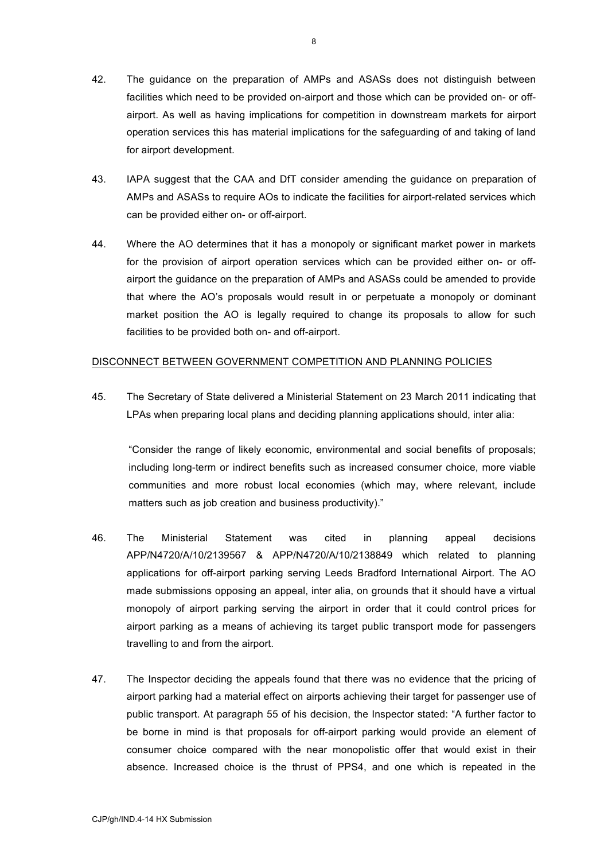- 42. The guidance on the preparation of AMPs and ASASs does not distinguish between facilities which need to be provided on-airport and those which can be provided on- or offairport. As well as having implications for competition in downstream markets for airport operation services this has material implications for the safeguarding of and taking of land for airport development.
- 43. IAPA suggest that the CAA and DfT consider amending the guidance on preparation of AMPs and ASASs to require AOs to indicate the facilities for airport-related services which can be provided either on- or off-airport.
- 44. Where the AO determines that it has a monopoly or significant market power in markets for the provision of airport operation services which can be provided either on- or offairport the guidance on the preparation of AMPs and ASASs could be amended to provide that where the AO's proposals would result in or perpetuate a monopoly or dominant market position the AO is legally required to change its proposals to allow for such facilities to be provided both on- and off-airport.

#### DISCONNECT BETWEEN GOVERNMENT COMPETITION AND PLANNING POLICIES

45. The Secretary of State delivered a Ministerial Statement on 23 March 2011 indicating that LPAs when preparing local plans and deciding planning applications should, inter alia:

"Consider the range of likely economic, environmental and social benefits of proposals; including long-term or indirect benefits such as increased consumer choice, more viable communities and more robust local economies (which may, where relevant, include matters such as job creation and business productivity)."

- 46. The Ministerial Statement was cited in planning appeal decisions APP/N4720/A/10/2139567 & APP/N4720/A/10/2138849 which related to planning applications for off-airport parking serving Leeds Bradford International Airport. The AO made submissions opposing an appeal, inter alia, on grounds that it should have a virtual monopoly of airport parking serving the airport in order that it could control prices for airport parking as a means of achieving its target public transport mode for passengers travelling to and from the airport.
- 47. The Inspector deciding the appeals found that there was no evidence that the pricing of airport parking had a material effect on airports achieving their target for passenger use of public transport. At paragraph 55 of his decision, the Inspector stated: "A further factor to be borne in mind is that proposals for off-airport parking would provide an element of consumer choice compared with the near monopolistic offer that would exist in their absence. Increased choice is the thrust of PPS4, and one which is repeated in the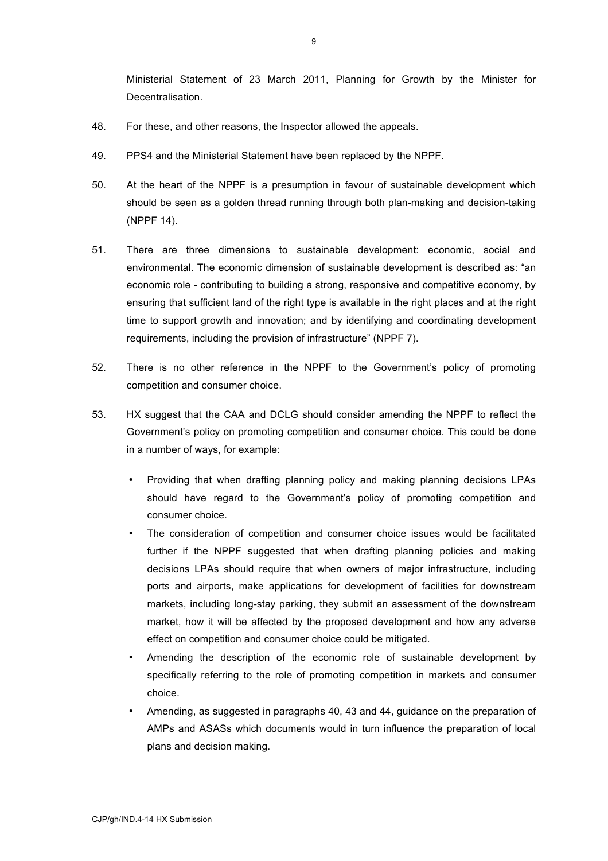Ministerial Statement of 23 March 2011, Planning for Growth by the Minister for Decentralisation.

- 48. For these, and other reasons, the Inspector allowed the appeals.
- 49. PPS4 and the Ministerial Statement have been replaced by the NPPF.
- 50. At the heart of the NPPF is a presumption in favour of sustainable development which should be seen as a golden thread running through both plan-making and decision-taking (NPPF 14).
- 51. There are three dimensions to sustainable development: economic, social and environmental. The economic dimension of sustainable development is described as: "an economic role - contributing to building a strong, responsive and competitive economy, by ensuring that sufficient land of the right type is available in the right places and at the right time to support growth and innovation; and by identifying and coordinating development requirements, including the provision of infrastructure" (NPPF 7).
- 52. There is no other reference in the NPPF to the Government's policy of promoting competition and consumer choice.
- 53. HX suggest that the CAA and DCLG should consider amending the NPPF to reflect the Government's policy on promoting competition and consumer choice. This could be done in a number of ways, for example:
	- Providing that when drafting planning policy and making planning decisions LPAs should have regard to the Government's policy of promoting competition and consumer choice.
	- The consideration of competition and consumer choice issues would be facilitated further if the NPPF suggested that when drafting planning policies and making decisions LPAs should require that when owners of major infrastructure, including ports and airports, make applications for development of facilities for downstream markets, including long-stay parking, they submit an assessment of the downstream market, how it will be affected by the proposed development and how any adverse effect on competition and consumer choice could be mitigated.
	- Amending the description of the economic role of sustainable development by specifically referring to the role of promoting competition in markets and consumer choice.
	- Amending, as suggested in paragraphs 40, 43 and 44, guidance on the preparation of AMPs and ASASs which documents would in turn influence the preparation of local plans and decision making.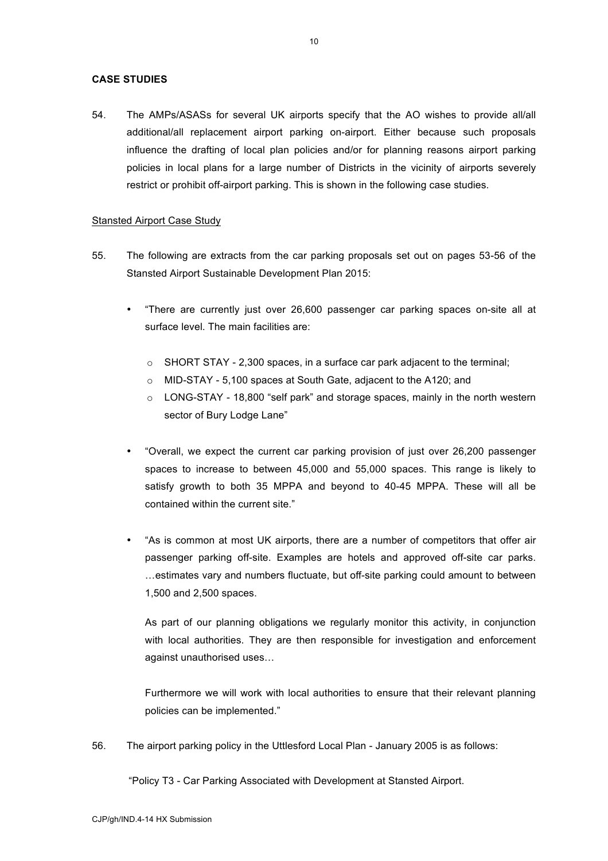# **CASE STUDIES**

54. The AMPs/ASASs for several UK airports specify that the AO wishes to provide all/all additional/all replacement airport parking on-airport. Either because such proposals influence the drafting of local plan policies and/or for planning reasons airport parking policies in local plans for a large number of Districts in the vicinity of airports severely restrict or prohibit off-airport parking. This is shown in the following case studies.

#### Stansted Airport Case Study

- 55. The following are extracts from the car parking proposals set out on pages 53-56 of the Stansted Airport Sustainable Development Plan 2015:
	- "There are currently just over 26,600 passenger car parking spaces on-site all at surface level. The main facilities are:
		- o SHORT STAY 2,300 spaces, in a surface car park adjacent to the terminal;
		- o MID-STAY 5,100 spaces at South Gate, adjacent to the A120; and
		- o LONG-STAY 18,800 "self park" and storage spaces, mainly in the north western sector of Bury Lodge Lane"
	- "Overall, we expect the current car parking provision of just over 26,200 passenger spaces to increase to between 45,000 and 55,000 spaces. This range is likely to satisfy growth to both 35 MPPA and beyond to 40-45 MPPA. These will all be contained within the current site."
	- "As is common at most UK airports, there are a number of competitors that offer air passenger parking off-site. Examples are hotels and approved off-site car parks. …estimates vary and numbers fluctuate, but off-site parking could amount to between 1,500 and 2,500 spaces.

As part of our planning obligations we regularly monitor this activity, in conjunction with local authorities. They are then responsible for investigation and enforcement against unauthorised uses…

Furthermore we will work with local authorities to ensure that their relevant planning policies can be implemented."

56. The airport parking policy in the Uttlesford Local Plan - January 2005 is as follows:

"Policy T3 - Car Parking Associated with Development at Stansted Airport.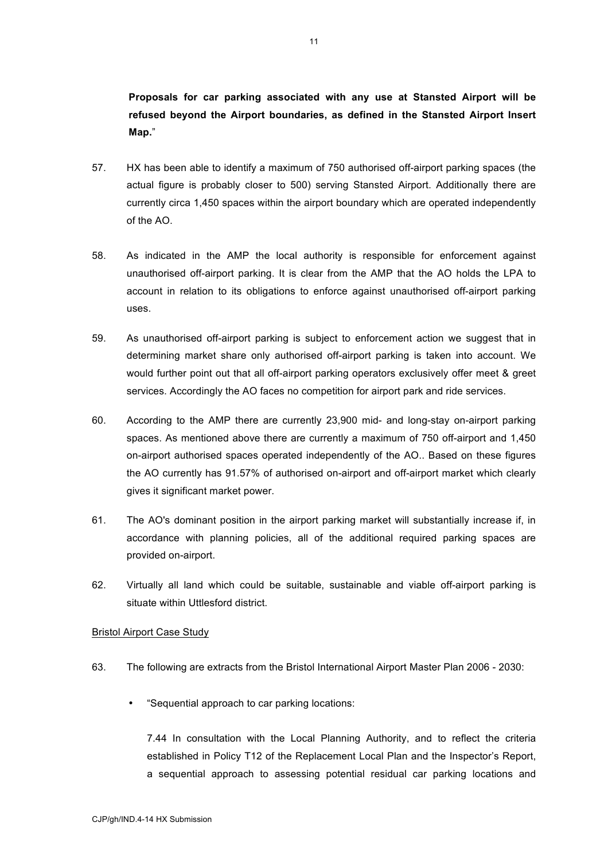**Proposals for car parking associated with any use at Stansted Airport will be refused beyond the Airport boundaries, as defined in the Stansted Airport Insert Map.**"

- 57. HX has been able to identify a maximum of 750 authorised off-airport parking spaces (the actual figure is probably closer to 500) serving Stansted Airport. Additionally there are currently circa 1,450 spaces within the airport boundary which are operated independently of the AO.
- 58. As indicated in the AMP the local authority is responsible for enforcement against unauthorised off-airport parking. It is clear from the AMP that the AO holds the LPA to account in relation to its obligations to enforce against unauthorised off-airport parking uses.
- 59. As unauthorised off-airport parking is subject to enforcement action we suggest that in determining market share only authorised off-airport parking is taken into account. We would further point out that all off-airport parking operators exclusively offer meet & greet services. Accordingly the AO faces no competition for airport park and ride services.
- 60. According to the AMP there are currently 23,900 mid- and long-stay on-airport parking spaces. As mentioned above there are currently a maximum of 750 off-airport and 1,450 on-airport authorised spaces operated independently of the AO.. Based on these figures the AO currently has 91.57% of authorised on-airport and off-airport market which clearly gives it significant market power.
- 61. The AO's dominant position in the airport parking market will substantially increase if, in accordance with planning policies, all of the additional required parking spaces are provided on-airport.
- 62. Virtually all land which could be suitable, sustainable and viable off-airport parking is situate within Uttlesford district.

#### Bristol Airport Case Study

- 63. The following are extracts from the Bristol International Airport Master Plan 2006 2030:
	- "Sequential approach to car parking locations:

7.44 In consultation with the Local Planning Authority, and to reflect the criteria established in Policy T12 of the Replacement Local Plan and the Inspector's Report, a sequential approach to assessing potential residual car parking locations and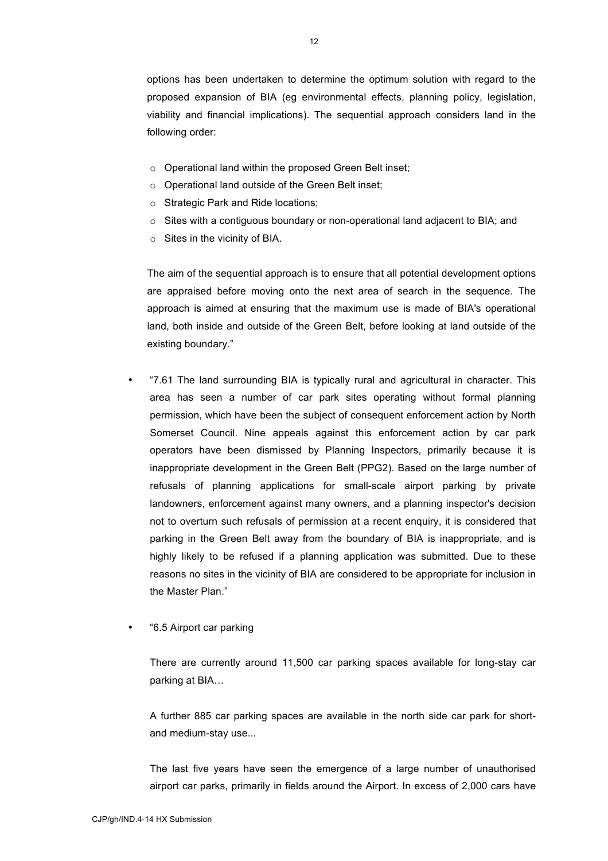options has been undertaken to determine the optimum solution with regard to the proposed expansion of BIA (eg environmental effects, planning policy, legislation, viability and financial implications). The sequential approach considers land in the following order:

- o Operational land within the proposed Green Belt inset;
- o Operational land outside of the Green Belt inset;
- o Strategic Park and Ride locations;
- $\circ$  Sites with a contiguous boundary or non-operational land adjacent to BIA; and
- $\circ$  Sites in the vicinity of BIA.

The aim of the sequential approach is to ensure that all potential development options are appraised before moving onto the next area of search in the sequence. The approach is aimed at ensuring that the maximum use is made of BIA's operational land, both inside and outside of the Green Belt, before looking at land outside of the existing boundary."

- "7.61 The land surrounding BIA is typically rural and agricultural in character. This area has seen a number of car park sites operating without formal planning permission, which have been the subject of consequent enforcement action by North Somerset Council. Nine appeals against this enforcement action by car park operators have been dismissed by Planning Inspectors, primarily because it is inappropriate development in the Green Belt (PPG2). Based on the large number of refusals of planning applications for small-scale airport parking by private landowners, enforcement against many owners, and a planning inspector's decision not to overturn such refusals of permission at a recent enquiry, it is considered that parking in the Green Belt away from the boundary of BIA is inappropriate, and is highly likely to be refused if a planning application was submitted. Due to these reasons no sites in the vicinity of BIA are considered to be appropriate for inclusion in the Master Plan."
- "6.5 Airport car parking

There are currently around 11,500 car parking spaces available for long-stay car parking at BIA…

A further 885 car parking spaces are available in the north side car park for shortand medium-stay use...

The last five years have seen the emergence of a large number of unauthorised airport car parks, primarily in fields around the Airport. In excess of 2,000 cars have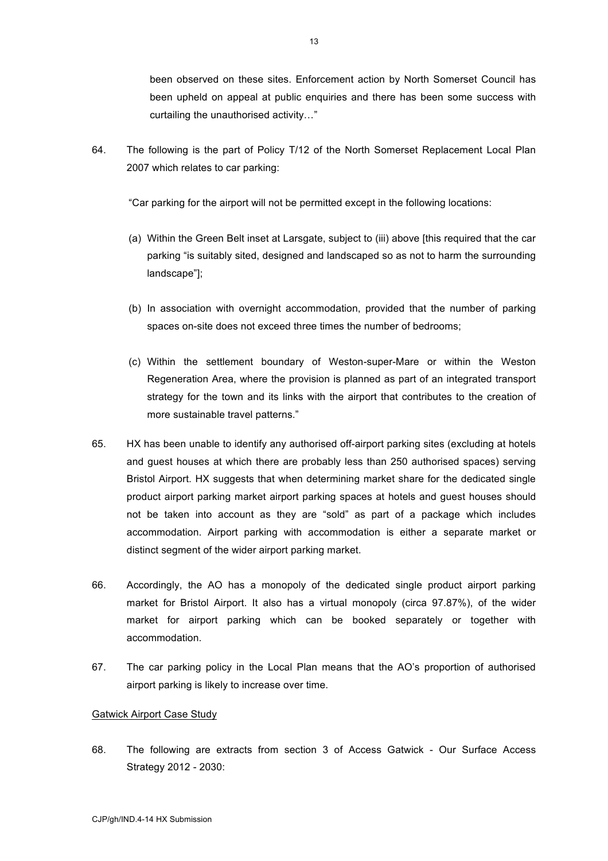been observed on these sites. Enforcement action by North Somerset Council has been upheld on appeal at public enquiries and there has been some success with curtailing the unauthorised activity…"

64. The following is the part of Policy T/12 of the North Somerset Replacement Local Plan 2007 which relates to car parking:

"Car parking for the airport will not be permitted except in the following locations:

- (a) Within the Green Belt inset at Larsgate, subject to (iii) above [this required that the car parking "is suitably sited, designed and landscaped so as not to harm the surrounding landscape"];
- (b) In association with overnight accommodation, provided that the number of parking spaces on-site does not exceed three times the number of bedrooms;
- (c) Within the settlement boundary of Weston-super-Mare or within the Weston Regeneration Area, where the provision is planned as part of an integrated transport strategy for the town and its links with the airport that contributes to the creation of more sustainable travel patterns."
- 65. HX has been unable to identify any authorised off-airport parking sites (excluding at hotels and guest houses at which there are probably less than 250 authorised spaces) serving Bristol Airport. HX suggests that when determining market share for the dedicated single product airport parking market airport parking spaces at hotels and guest houses should not be taken into account as they are "sold" as part of a package which includes accommodation. Airport parking with accommodation is either a separate market or distinct segment of the wider airport parking market.
- 66. Accordingly, the AO has a monopoly of the dedicated single product airport parking market for Bristol Airport. It also has a virtual monopoly (circa 97.87%), of the wider market for airport parking which can be booked separately or together with accommodation.
- 67. The car parking policy in the Local Plan means that the AO's proportion of authorised airport parking is likely to increase over time.

# Gatwick Airport Case Study

68. The following are extracts from section 3 of Access Gatwick - Our Surface Access Strategy 2012 - 2030: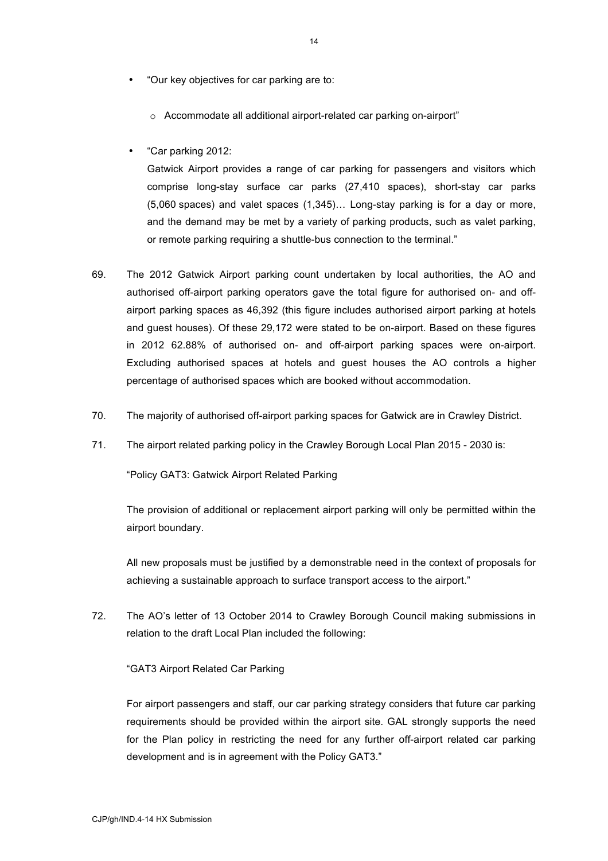- "Our key objectives for car parking are to:
	- o Accommodate all additional airport-related car parking on-airport"
- "Car parking 2012:

Gatwick Airport provides a range of car parking for passengers and visitors which comprise long-stay surface car parks (27,410 spaces), short-stay car parks (5,060 spaces) and valet spaces (1,345)… Long-stay parking is for a day or more, and the demand may be met by a variety of parking products, such as valet parking, or remote parking requiring a shuttle-bus connection to the terminal."

- 69. The 2012 Gatwick Airport parking count undertaken by local authorities, the AO and authorised off-airport parking operators gave the total figure for authorised on- and offairport parking spaces as 46,392 (this figure includes authorised airport parking at hotels and guest houses). Of these 29,172 were stated to be on-airport. Based on these figures in 2012 62.88% of authorised on- and off-airport parking spaces were on-airport. Excluding authorised spaces at hotels and guest houses the AO controls a higher percentage of authorised spaces which are booked without accommodation.
- 70. The majority of authorised off-airport parking spaces for Gatwick are in Crawley District.
- 71. The airport related parking policy in the Crawley Borough Local Plan 2015 2030 is:

"Policy GAT3: Gatwick Airport Related Parking

The provision of additional or replacement airport parking will only be permitted within the airport boundary.

All new proposals must be justified by a demonstrable need in the context of proposals for achieving a sustainable approach to surface transport access to the airport."

72. The AO's letter of 13 October 2014 to Crawley Borough Council making submissions in relation to the draft Local Plan included the following:

### "GAT3 Airport Related Car Parking

For airport passengers and staff, our car parking strategy considers that future car parking requirements should be provided within the airport site. GAL strongly supports the need for the Plan policy in restricting the need for any further off-airport related car parking development and is in agreement with the Policy GAT3."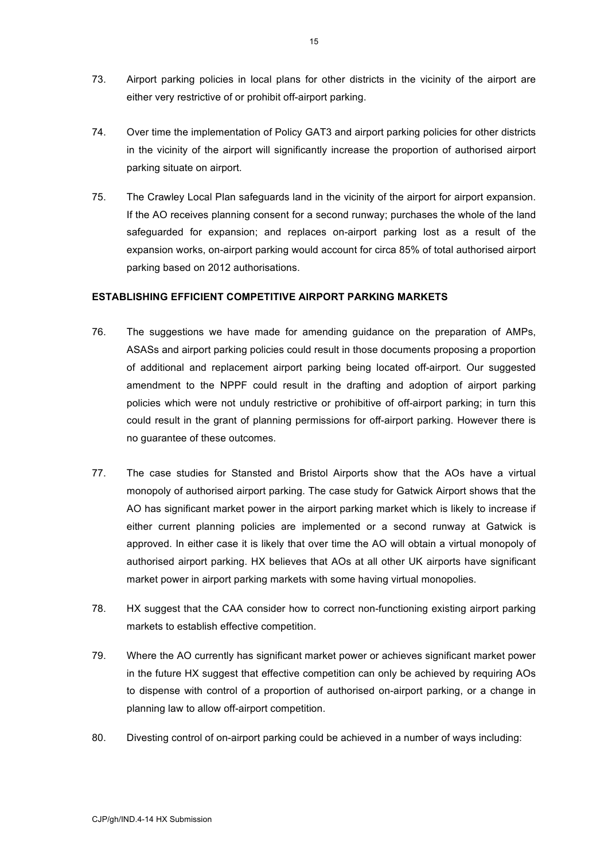- 73. Airport parking policies in local plans for other districts in the vicinity of the airport are either very restrictive of or prohibit off-airport parking.
- 74. Over time the implementation of Policy GAT3 and airport parking policies for other districts in the vicinity of the airport will significantly increase the proportion of authorised airport parking situate on airport.
- 75. The Crawley Local Plan safeguards land in the vicinity of the airport for airport expansion. If the AO receives planning consent for a second runway; purchases the whole of the land safeguarded for expansion; and replaces on-airport parking lost as a result of the expansion works, on-airport parking would account for circa 85% of total authorised airport parking based on 2012 authorisations.

### **ESTABLISHING EFFICIENT COMPETITIVE AIRPORT PARKING MARKETS**

- 76. The suggestions we have made for amending guidance on the preparation of AMPs, ASASs and airport parking policies could result in those documents proposing a proportion of additional and replacement airport parking being located off-airport. Our suggested amendment to the NPPF could result in the drafting and adoption of airport parking policies which were not unduly restrictive or prohibitive of off-airport parking; in turn this could result in the grant of planning permissions for off-airport parking. However there is no guarantee of these outcomes.
- 77. The case studies for Stansted and Bristol Airports show that the AOs have a virtual monopoly of authorised airport parking. The case study for Gatwick Airport shows that the AO has significant market power in the airport parking market which is likely to increase if either current planning policies are implemented or a second runway at Gatwick is approved. In either case it is likely that over time the AO will obtain a virtual monopoly of authorised airport parking. HX believes that AOs at all other UK airports have significant market power in airport parking markets with some having virtual monopolies.
- 78. HX suggest that the CAA consider how to correct non-functioning existing airport parking markets to establish effective competition.
- 79. Where the AO currently has significant market power or achieves significant market power in the future HX suggest that effective competition can only be achieved by requiring AOs to dispense with control of a proportion of authorised on-airport parking, or a change in planning law to allow off-airport competition.
- 80. Divesting control of on-airport parking could be achieved in a number of ways including: